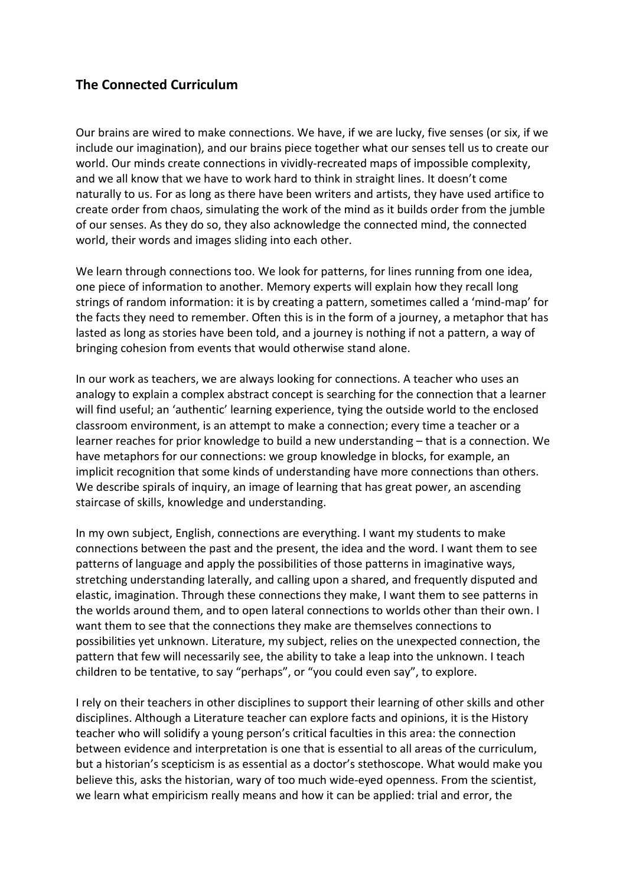## **The Connected Curriculum**

Our brains are wired to make connections. We have, if we are lucky, five senses (or six, if we include our imagination), and our brains piece together what our senses tell us to create our world. Our minds create connections in vividly-recreated maps of impossible complexity, and we all know that we have to work hard to think in straight lines. It doesn't come naturally to us. For as long as there have been writers and artists, they have used artifice to create order from chaos, simulating the work of the mind as it builds order from the jumble of our senses. As they do so, they also acknowledge the connected mind, the connected world, their words and images sliding into each other.

We learn through connections too. We look for patterns, for lines running from one idea, one piece of information to another. Memory experts will explain how they recall long strings of random information: it is by creating a pattern, sometimes called a 'mind-map' for the facts they need to remember. Often this is in the form of a journey, a metaphor that has lasted as long as stories have been told, and a journey is nothing if not a pattern, a way of bringing cohesion from events that would otherwise stand alone.

In our work as teachers, we are always looking for connections. A teacher who uses an analogy to explain a complex abstract concept is searching for the connection that a learner will find useful; an 'authentic' learning experience, tying the outside world to the enclosed classroom environment, is an attempt to make a connection; every time a teacher or a learner reaches for prior knowledge to build a new understanding – that is a connection. We have metaphors for our connections: we group knowledge in blocks, for example, an implicit recognition that some kinds of understanding have more connections than others. We describe spirals of inquiry, an image of learning that has great power, an ascending staircase of skills, knowledge and understanding.

In my own subject, English, connections are everything. I want my students to make connections between the past and the present, the idea and the word. I want them to see patterns of language and apply the possibilities of those patterns in imaginative ways, stretching understanding laterally, and calling upon a shared, and frequently disputed and elastic, imagination. Through these connections they make, I want them to see patterns in the worlds around them, and to open lateral connections to worlds other than their own. I want them to see that the connections they make are themselves connections to possibilities yet unknown. Literature, my subject, relies on the unexpected connection, the pattern that few will necessarily see, the ability to take a leap into the unknown. I teach children to be tentative, to say "perhaps", or "you could even say", to explore.

I rely on their teachers in other disciplines to support their learning of other skills and other disciplines. Although a Literature teacher can explore facts and opinions, it is the History teacher who will solidify a young person's critical faculties in this area: the connection between evidence and interpretation is one that is essential to all areas of the curriculum, but a historian's scepticism is as essential as a doctor's stethoscope. What would make you believe this, asks the historian, wary of too much wide-eyed openness. From the scientist, we learn what empiricism really means and how it can be applied: trial and error, the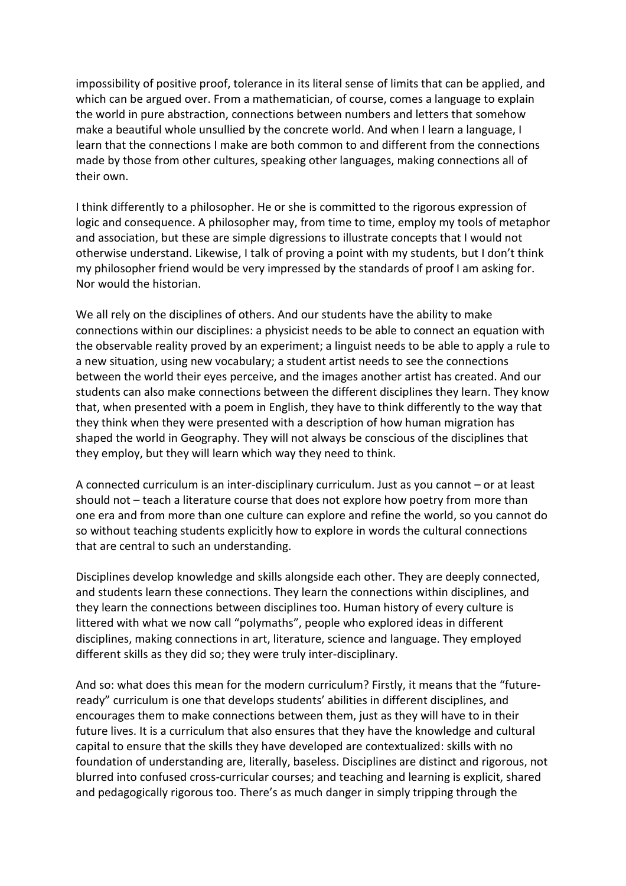impossibility of positive proof, tolerance in its literal sense of limits that can be applied, and which can be argued over. From a mathematician, of course, comes a language to explain the world in pure abstraction, connections between numbers and letters that somehow make a beautiful whole unsullied by the concrete world. And when I learn a language, I learn that the connections I make are both common to and different from the connections made by those from other cultures, speaking other languages, making connections all of their own.

I think differently to a philosopher. He or she is committed to the rigorous expression of logic and consequence. A philosopher may, from time to time, employ my tools of metaphor and association, but these are simple digressions to illustrate concepts that I would not otherwise understand. Likewise, I talk of proving a point with my students, but I don't think my philosopher friend would be very impressed by the standards of proof I am asking for. Nor would the historian.

We all rely on the disciplines of others. And our students have the ability to make connections within our disciplines: a physicist needs to be able to connect an equation with the observable reality proved by an experiment; a linguist needs to be able to apply a rule to a new situation, using new vocabulary; a student artist needs to see the connections between the world their eyes perceive, and the images another artist has created. And our students can also make connections between the different disciplines they learn. They know that, when presented with a poem in English, they have to think differently to the way that they think when they were presented with a description of how human migration has shaped the world in Geography. They will not always be conscious of the disciplines that they employ, but they will learn which way they need to think.

A connected curriculum is an inter-disciplinary curriculum. Just as you cannot – or at least should not – teach a literature course that does not explore how poetry from more than one era and from more than one culture can explore and refine the world, so you cannot do so without teaching students explicitly how to explore in words the cultural connections that are central to such an understanding.

Disciplines develop knowledge and skills alongside each other. They are deeply connected, and students learn these connections. They learn the connections within disciplines, and they learn the connections between disciplines too. Human history of every culture is littered with what we now call "polymaths", people who explored ideas in different disciplines, making connections in art, literature, science and language. They employed different skills as they did so; they were truly inter-disciplinary.

And so: what does this mean for the modern curriculum? Firstly, it means that the "futureready" curriculum is one that develops students' abilities in different disciplines, and encourages them to make connections between them, just as they will have to in their future lives. It is a curriculum that also ensures that they have the knowledge and cultural capital to ensure that the skills they have developed are contextualized: skills with no foundation of understanding are, literally, baseless. Disciplines are distinct and rigorous, not blurred into confused cross-curricular courses; and teaching and learning is explicit, shared and pedagogically rigorous too. There's as much danger in simply tripping through the